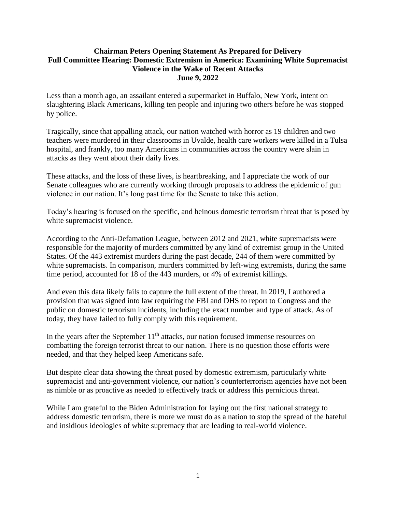## **Chairman Peters Opening Statement As Prepared for Delivery Full Committee Hearing: Domestic Extremism in America: Examining White Supremacist Violence in the Wake of Recent Attacks June 9, 2022**

Less than a month ago, an assailant entered a supermarket in Buffalo, New York, intent on slaughtering Black Americans, killing ten people and injuring two others before he was stopped by police.

Tragically, since that appalling attack, our nation watched with horror as 19 children and two teachers were murdered in their classrooms in Uvalde, health care workers were killed in a Tulsa hospital, and frankly, too many Americans in communities across the country were slain in attacks as they went about their daily lives.

These attacks, and the loss of these lives, is heartbreaking, and I appreciate the work of our Senate colleagues who are currently working through proposals to address the epidemic of gun violence in our nation. It's long past time for the Senate to take this action.

Today's hearing is focused on the specific, and heinous domestic terrorism threat that is posed by white supremacist violence.

According to the Anti-Defamation League, between 2012 and 2021, white supremacists were responsible for the majority of murders committed by any kind of extremist group in the United States. Of the 443 extremist murders during the past decade, 244 of them were committed by white supremacists. In comparison, murders committed by left-wing extremists, during the same time period, accounted for 18 of the 443 murders, or 4% of extremist killings.

And even this data likely fails to capture the full extent of the threat. In 2019, I authored a provision that was signed into law requiring the FBI and DHS to report to Congress and the public on domestic terrorism incidents, including the exact number and type of attack. As of today, they have failed to fully comply with this requirement.

In the years after the September  $11<sup>th</sup>$  attacks, our nation focused immense resources on combatting the foreign terrorist threat to our nation. There is no question those efforts were needed, and that they helped keep Americans safe.

But despite clear data showing the threat posed by domestic extremism, particularly white supremacist and anti-government violence, our nation's counterterrorism agencies have not been as nimble or as proactive as needed to effectively track or address this pernicious threat.

While I am grateful to the Biden Administration for laying out the first national strategy to address domestic terrorism, there is more we must do as a nation to stop the spread of the hateful and insidious ideologies of white supremacy that are leading to real-world violence.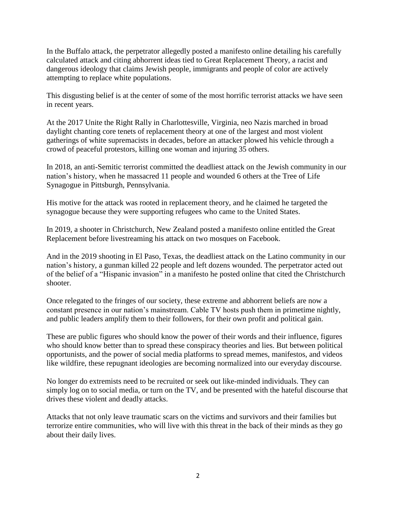In the Buffalo attack, the perpetrator allegedly posted a manifesto online detailing his carefully calculated attack and citing abhorrent ideas tied to Great Replacement Theory, a racist and dangerous ideology that claims Jewish people, immigrants and people of color are actively attempting to replace white populations.

This disgusting belief is at the center of some of the most horrific terrorist attacks we have seen in recent years.

At the 2017 Unite the Right Rally in Charlottesville, Virginia, neo Nazis marched in broad daylight chanting core tenets of replacement theory at one of the largest and most violent gatherings of white supremacists in decades, before an attacker plowed his vehicle through a crowd of peaceful protestors, killing one woman and injuring 35 others.

In 2018, an anti-Semitic terrorist committed the deadliest attack on the Jewish community in our nation's history, when he massacred 11 people and wounded 6 others at the Tree of Life Synagogue in Pittsburgh, Pennsylvania.

His motive for the attack was rooted in replacement theory, and he claimed he targeted the synagogue because they were supporting refugees who came to the United States.

In 2019, a shooter in Christchurch, New Zealand posted a manifesto online entitled the Great Replacement before livestreaming his attack on two mosques on Facebook.

And in the 2019 shooting in El Paso, Texas, the deadliest attack on the Latino community in our nation's history, a gunman killed 22 people and left dozens wounded. The perpetrator acted out of the belief of a "Hispanic invasion" in a manifesto he posted online that cited the Christchurch shooter.

Once relegated to the fringes of our society, these extreme and abhorrent beliefs are now a constant presence in our nation's mainstream. Cable TV hosts push them in primetime nightly, and public leaders amplify them to their followers, for their own profit and political gain.

These are public figures who should know the power of their words and their influence, figures who should know better than to spread these conspiracy theories and lies. But between political opportunists, and the power of social media platforms to spread memes, manifestos, and videos like wildfire, these repugnant ideologies are becoming normalized into our everyday discourse.

No longer do extremists need to be recruited or seek out like-minded individuals. They can simply log on to social media, or turn on the TV, and be presented with the hateful discourse that drives these violent and deadly attacks.

Attacks that not only leave traumatic scars on the victims and survivors and their families but terrorize entire communities, who will live with this threat in the back of their minds as they go about their daily lives.